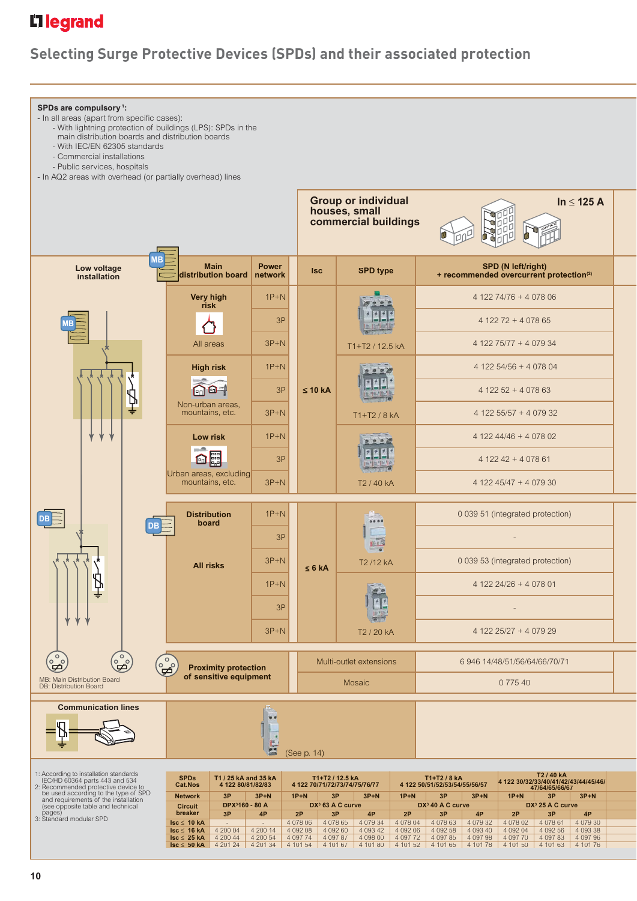## L<sub>1</sub> legrand

## **Selecting Surge Protective Devices (SPDs) and their associated protection**

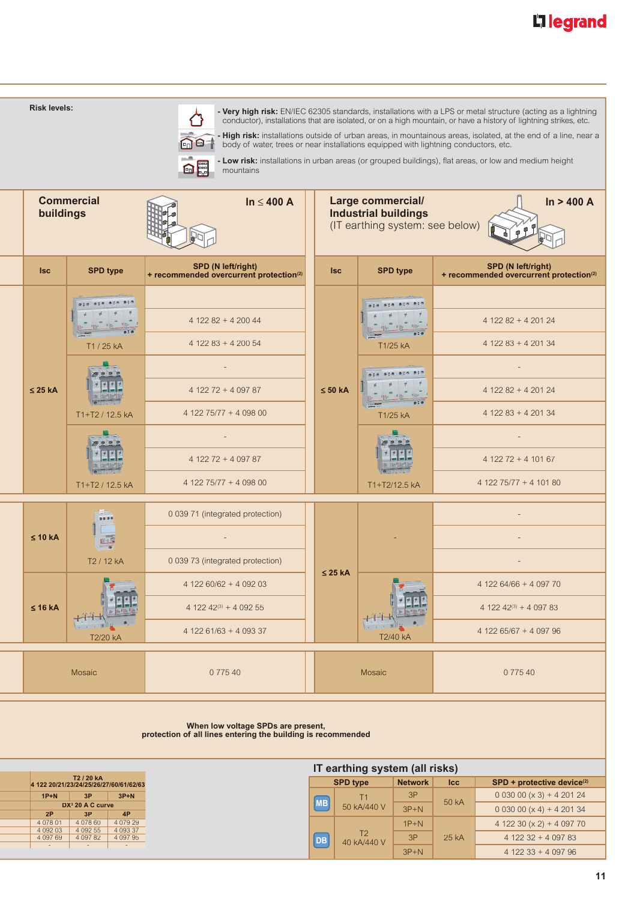# L'1 legrand

| <b>Risk levels:</b>                                                                                                                   |                                                                                                      | body of water, trees or near installations equipped with lightning conductors, etc.<br><b>enl</b><br>mountains |              |                                                                                            |                        |                                                                            | - Very high risk: EN/IEC 62305 standards, installations with a LPS or metal structure (acting as a lightning<br>conductor), installations that are isolated, or on a high mountain, or have a history of lightning strikes, etc.<br>- High risk: installations outside of urban areas, in mountainous areas, isolated, at the end of a line, near a<br>- Low risk: installations in urban areas (or grouped buildings), flat areas, or low and medium height |  |  |
|---------------------------------------------------------------------------------------------------------------------------------------|------------------------------------------------------------------------------------------------------|----------------------------------------------------------------------------------------------------------------|--------------|--------------------------------------------------------------------------------------------|------------------------|----------------------------------------------------------------------------|--------------------------------------------------------------------------------------------------------------------------------------------------------------------------------------------------------------------------------------------------------------------------------------------------------------------------------------------------------------------------------------------------------------------------------------------------------------|--|--|
| buildings                                                                                                                             | <b>Commercial</b>                                                                                    | In $\leq 400$ A                                                                                                |              | <b>Large commercial/</b><br><b>Industrial buildings</b><br>(IT earthing system: see below) |                        |                                                                            | In > 400 A                                                                                                                                                                                                                                                                                                                                                                                                                                                   |  |  |
| <b>Isc</b>                                                                                                                            | <b>SPD type</b>                                                                                      | SPD (N left/right)<br>+ recommended overcurrent protection <sup>(2)</sup>                                      | <b>Isc</b>   |                                                                                            | <b>SPD type</b>        |                                                                            | SPD (N left/right)<br>+ recommended overcurrent protection <sup>(2)</sup>                                                                                                                                                                                                                                                                                                                                                                                    |  |  |
|                                                                                                                                       |                                                                                                      | $412282 + 420044$                                                                                              |              |                                                                                            |                        |                                                                            | $412282 + 420124$                                                                                                                                                                                                                                                                                                                                                                                                                                            |  |  |
| $\leq$ 25 kA                                                                                                                          | T1 / 25 kA                                                                                           | $412283 + 420054$<br>$412272 + 409787$                                                                         | $\leq 50$ kA | ●三四 ●三倍                                                                                    | T1/25 kA               |                                                                            | $412283 + 420134$<br>$412282 + 420124$                                                                                                                                                                                                                                                                                                                                                                                                                       |  |  |
|                                                                                                                                       | T1+T2 / 12.5 kA                                                                                      | 4 122 75/77 + 4 098 00<br>$412272 + 409787$                                                                    |              |                                                                                            | T1/25 kA               |                                                                            | $412283 + 420134$<br>$412272 + 410167$<br>4 122 75/77 + 4 101 80                                                                                                                                                                                                                                                                                                                                                                                             |  |  |
| $\leq 10$ kA                                                                                                                          | 4 122 75/77 + 4 098 00<br>T1+T2 / 12.5 kA<br>0 039 71 (integrated protection)<br>99.99<br>T2 / 12 kA |                                                                                                                |              |                                                                                            | T1+T2/12.5 kA          |                                                                            |                                                                                                                                                                                                                                                                                                                                                                                                                                                              |  |  |
| $\leq$ 16 kA                                                                                                                          | Е<br>╶┦┙┝┙╾┢<br>1.3.101<br>T2/20 kA                                                                  | 0 039 73 (integrated protection)<br>4 122 60/62 + 4 092 03<br>4 122 42(3) + 4 092 55<br>$412261/63 + 409337$   |              | $\leq$ 25 kA                                                                               | T2/40 kA               | 4 122 64/66 + 4 097 70<br>4 122 42(3) + 4 097 83<br>4 122 65/67 + 4 097 96 |                                                                                                                                                                                                                                                                                                                                                                                                                                                              |  |  |
|                                                                                                                                       | Mosaic                                                                                               | 0 775 40                                                                                                       |              | Mosaic                                                                                     |                        |                                                                            | 0 775 40                                                                                                                                                                                                                                                                                                                                                                                                                                                     |  |  |
|                                                                                                                                       |                                                                                                      | When low voltage SPDs are present,<br>protection of all lines entering the building is recommended             |              |                                                                                            |                        |                                                                            |                                                                                                                                                                                                                                                                                                                                                                                                                                                              |  |  |
|                                                                                                                                       |                                                                                                      |                                                                                                                |              | IT earthing system (all risks)                                                             |                        |                                                                            |                                                                                                                                                                                                                                                                                                                                                                                                                                                              |  |  |
|                                                                                                                                       | T2 / 20 kA<br>4 122 20/21/23/24/25/26/27/60/61/62/63                                                 |                                                                                                                |              | <b>SPD type</b>                                                                            | <b>Network</b>         | <b>Icc</b>                                                                 | SPD + protective device <sup>(2)</sup>                                                                                                                                                                                                                                                                                                                                                                                                                       |  |  |
| $1P+N$<br>2P                                                                                                                          | 3P<br>$3P+N$<br>DX <sup>3</sup> 20 A C curve<br>3P<br>4P                                             |                                                                                                                | <b>MB</b>    | T <sub>1</sub><br>50 kA/440 V                                                              | 3P<br>$3P+N$           | 50 kA                                                                      | $0.03000(x3) + 4.20124$<br>0 0 30 00 ( $\times$ 4) + 4 201 34                                                                                                                                                                                                                                                                                                                                                                                                |  |  |
| 4 0 78 01<br>4 078 60<br>4 0 7 9 2 9<br>4 0 9 2 0 3<br>4 0 9 2 5 5<br>4 0 9 3 3 7<br>4 097 69<br>4 0 9 7 8 2<br>4 0 9 7 9 5<br>$\sim$ |                                                                                                      |                                                                                                                |              | T <sub>2</sub><br>40 kA/440 V                                                              | $1P+N$<br>3P<br>$3P+N$ | 25 kA                                                                      | 4 122 30 ( $\times$ 2) + 4 097 70<br>$412232 + 409783$<br>$412233 + 409796$                                                                                                                                                                                                                                                                                                                                                                                  |  |  |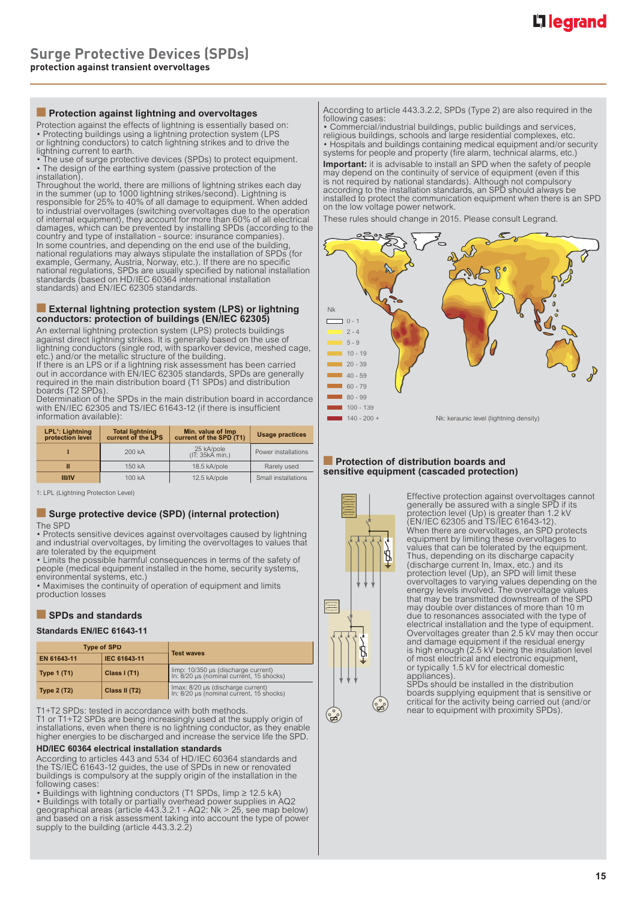#### **■ Protection against lightning and overvoltages**

Protection against the effects of lightning is essentially based on: • Protecting buildings using a lightning protection system (LPS or lightning conductors) to catch lightning strikes and to drive the

lightning current to earth.<br>• The use of surge protective devices (SPDs) to protect equipment.<br>• The design of the earthing system (passive protection of the installation).

Throughout the world, there are millions of lightning strikes each day<br>in the summer (up to 1000 lightning strikes/second). Lightning is<br>responsible for 25% to 40% of all damage to equipment. When added<br>to industrial overv damages, which can be prevented by installing SPDs (according to the country and type of installation - source: insurance companies). In some countries, and depending on the end use of the building,<br>national regulations may always stipulate the installation of SPDs (for<br>example, Germany, Austria, Norway, etc.). If there are no specific<br>national regulatio standards) and EN/IEC 62305 standards.

#### **External lightning protection system (LPS) or lightning conductors: protection of buildings (EN/IEC 62305)**

An external lightning protection system (LPS) protects buildings against direct lightning strikes. It is generally based on the use of dightning conductors (single rod, with sparkover device, meshed cage, etc.) and/or the metallic structure of the building.

etc.) and/or the metallic structure of the building.<br>If there is an LPS or if a lightning risk assessment has been carried<br>out in accordance with EN/IEC 62305 standards, SPDs are generally<br>required in the main distribution boards (T2 SPDs).

Determination of the SPDs in the main distribution board in accordance<br>with EN/IEC 62305 and TS/IEC 61643-12 (if there is insufficient information available):

| LPL <sup>1</sup> : Lightning<br>protection level | <b>Total lightning</b><br>Min. value of Imp<br>current of the LPS<br>current of the SPD (T1) |                               | <b>Usage practices</b> |  |
|--------------------------------------------------|----------------------------------------------------------------------------------------------|-------------------------------|------------------------|--|
| 200 kA                                           |                                                                                              | 25 kA/pole<br>(IT: 35kA min.) | Power installations    |  |
| Ш                                                | 150 kA                                                                                       | 18.5 kA/pole                  | Rarely used            |  |
| <b>III/IV</b>                                    | 100 kA                                                                                       | 12.5 kA/pole                  | Small installations    |  |

1: LPL (Lightning Protection Level)

#### ■ **Surge protective device (SPD) (internal protection)** The SPD

• Protects sensitive devices against overvoltages caused by lightning and industrial overvoltages, by limiting the overvoltages to values that are tolerated by the equipment

• Limits the possible harmful consequences in terms of the safety of people (medical equipment installed in the home, security systems, environmental systems, etc.)

• Maximises the continuity of operation of equipment and limits production losses

#### ■ **SPDs and standards**

#### **Standards EN/IEC 61643-11**

|                                     | <b>Type of SPD</b> | <b>Test waves</b>                                                               |  |  |
|-------------------------------------|--------------------|---------------------------------------------------------------------------------|--|--|
| IEC 61643-11<br>EN 61643-11         |                    |                                                                                 |  |  |
| <b>Type 1 (T1)</b>                  | Class $I(T1)$      | limp: 10/350 µs (discharge current)<br>In: 8/20 µs (nominal current, 15 shocks) |  |  |
| Class II (T2)<br><b>Type 2 (T2)</b> |                    | Imax: 8/20 µs (discharge current)<br>In: 8/20 µs (nominal current, 15 shocks)   |  |  |

T1+T2 SPDs: tested in accordance with both methods. T1 or T1+T2 SPDs are being increasingly used at the supply origin of installations, even when there is no lightning conductor, as they enable higher energies to be discharged and increase the service life the SPD.

#### **HD/IEC 60364 electrical installation standards**

According to articles 443 and 534 of HD/IEC 60364 standards and the TS/IEC 61643-12 guides, the use of SPDs in new or renovated buildings is compulsory at the supply origin of the installation in the following cases:

• Buildings with lightning conductors (T1 SPDs, Iimp ≥ 12.5 kA) • Buildings with totally or partially overhead power supplies in AQ2 geographical areas (article 443.3.2.1 - AQ2: Nk > 25, see map below) and based on a risk assessment taking into account the type of power supply to the building (article 443.3.2.2)

According to article 443.3.2.2, SPDs (Type 2) are also required in the

following cases:<br>• Commercial/industrial buildings, public buildings and services,<br>religious buildings, schools and large residential complexes, etc.<br>• Hospitals and buildings containing medical equipment and/or security<br>s

**Important:** it is advisable to install an SPD when the safety of people may depend on the continuity of service of equipment (even if this is not required by national standards). Although not compulsory<br>according to the i on the low voltage power network.

These rules should change in 2015. Please consult Legrand.



#### ■ **Protection of distribution boards and sensitive equipment (cascaded protection)**



Effective protection against overvoltages cannot<br>generally be assured with a single SPD if its<br>protection level (Up) is greater than 1.2 kV<br>(EN/IEC 62305 and TS/IEC 61643-12).<br>When there are overvoltages, an SPD protects equipment by limiting these overvoltages to values that can be tolerated by the equipment. Thus, depending on its discharge capacity (discharge current In, Imax, etc.) and its protection level (Up), an SPD will limit these overvoltages to varying values depending on the energy levels involved. The overvoltage values that may be transmitted downstream of the SPD may double over distances of more than 10 m due to resonances associated with the type of electrical installation and the type of equipment. Overvoltages greater than 2.5 kV may then occur and damage equipment if the residual energy is high enough (2.5 kV being the insulation level of most electrical and electronic equipment, or typically 1.5 kV for electrical domestic appliances).

SPDs should be installed in the distribution boards supplying equipment that is sensitive or critical for the activity being carried out (and/or near to equipment with proximity SPDs).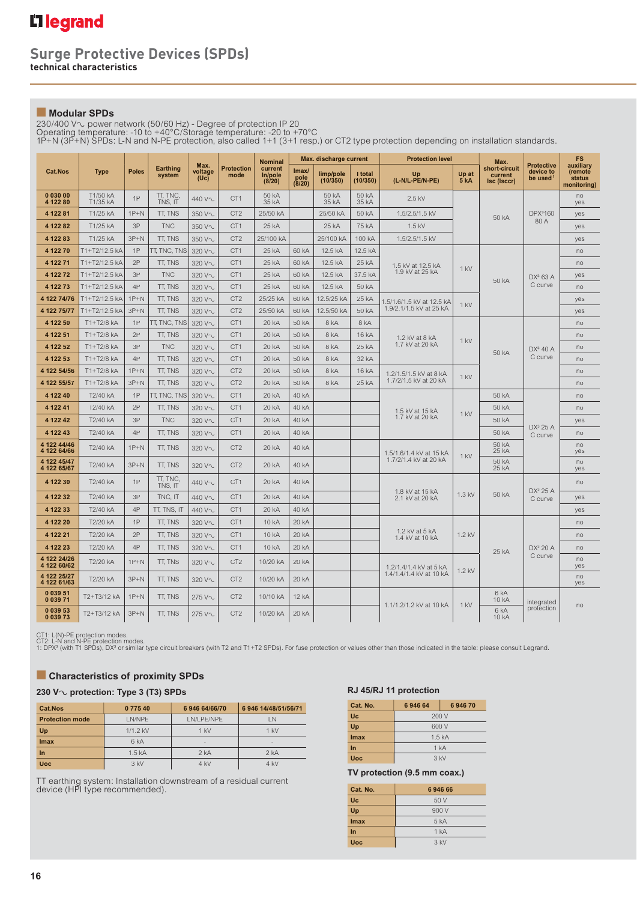### **Surge Protective Devices (SPDs) technical characteristics**

## ■ **Modular SPDs**

230/400 V∿ power network (50/60 Hz) - Degree of protection IP 20<br>Operating temperature: -10 to +40°C/Storage temperature: -20 to +70°C<br>1P+N (3P+N) SPDs: L-N and N-PE protection, also called 1+1 (3+1 resp.) or CT2 type pro

|                            |                      |              |                           |                         |                           | <b>Nominal</b>               |                                   | Max. discharge current |                     | <b>Protection level</b>                   | Max.                 |                                         |                                                        | <b>FS</b>                                     |
|----------------------------|----------------------|--------------|---------------------------|-------------------------|---------------------------|------------------------------|-----------------------------------|------------------------|---------------------|-------------------------------------------|----------------------|-----------------------------------------|--------------------------------------------------------|-----------------------------------------------|
| <b>Cat.Nos</b>             | <b>Type</b>          | <b>Poles</b> | <b>Earthing</b><br>system | Max.<br>voltage<br>(Uc) | <b>Protection</b><br>mode | current<br>In/pole<br>(8/20) | $\mathsf{Imax}$<br>pole<br>(8/20) | limp/pole<br>(10/350)  | I total<br>(10/350) | Up<br>(L-N/L-PE/N-PE)                     | Up at<br><b>5 kA</b> | short-circuit<br>current<br>Isc (Isccr) | <b>Protective</b><br>device to<br>be used <sup>1</sup> | auxiliary<br>(remote<br>status<br>monitoring) |
| 0 030 00<br>4 122 80       | T1/50 kA<br>T1/35 kA | 1P           | TT, TNC.<br>TNS, IT       | 440 V~                  | CT <sub>1</sub>           | 50 kA<br>35 kA               |                                   | 50 kA<br>35 kA         | 50 kA<br>35 kA      | 2.5 kV                                    |                      |                                         |                                                        | no<br>yes                                     |
| 4 122 81                   | T1/25 kA             | $1P+N$       | TT, TNS                   | 350 V~                  | CT <sub>2</sub>           | 25/50 kA                     |                                   | 25/50 kA               | 50 kA               | 1.5/2.5/1.5 kV                            |                      | 50 kA                                   | DPX3160                                                | yes                                           |
| 4 122 82                   | T1/25 kA             | 3P           | <b>TNC</b>                | 350 V~                  | CT <sub>1</sub>           | 25 kA                        |                                   | 25 kA                  | 75 kA               | $1.5$ kV                                  |                      |                                         | 80 A                                                   | yes                                           |
| 4 122 83                   | T1/25 kA             | $3P+N$       | TT, TNS                   | 350 V~                  | CT <sub>2</sub>           | 25/100 kA                    |                                   | 25/100 kA              | 100 kA              | 1.5/2.5/1.5 kV                            |                      |                                         |                                                        | yes                                           |
| 4 122 70                   | T1+T2/12.5 kA        | 1P           | TT, TNC, TNS              | 320 V~                  | CT <sub>1</sub>           | 25 kA                        | 60 kA                             | 12.5 kA                | 12.5 kA             |                                           |                      |                                         |                                                        | no                                            |
| 4 122 71                   | T1+T2/12.5 kA        | 2P           | TT, TNS                   | 320 V~                  | CT <sub>1</sub>           | 25 kA                        | 60 kA                             | 12.5 kA                | 25 kA               | 1.5 kV at 12.5 kA                         | $1$ kV               | 50 kA                                   | $DX^3$ 63 A<br>C curve                                 | no                                            |
| 4 122 72                   | T1+T2/12.5 kA        | 3P           | <b>TNC</b>                | 320 V~                  | CT <sub>1</sub>           | 25 kA                        | 60 kA                             | 12.5 kA                | 37.5 kA             | 1.9 kV at 25 kA                           |                      |                                         |                                                        | yes                                           |
| 4 122 73                   | T1+T2/12.5 kA        | 4P           | TT, TNS                   | 320 V~                  | CT <sub>1</sub>           | 25 kA                        | 60 kA                             | 12.5 kA                | 50 kA               |                                           |                      |                                         |                                                        | n <sub>0</sub>                                |
| 4 122 74/76                | T1+T2/12.5 kA        | $1P+N$       | <b>TT. TNS</b>            | 320 V~                  | CT <sub>2</sub>           | 25/25 kA                     | 60 kA                             | 12.5/25 kA             | 25 kA               | 1.5/1.6/1.5 kV at 12.5 kA                 | 1 kV                 |                                         |                                                        | yes                                           |
| 4 122 75/77                | T1+T2/12.5 kA        | $3P+N$       | TT, TNS                   | 320 V~                  | CT <sub>2</sub>           | 25/50 kA                     | 60 kA                             | 12.5/50 kA             | 50 kA               | 1.9/2.1/1.5 kV at 25 kA                   |                      |                                         |                                                        | yes                                           |
| 4 122 50                   | T1+T2/8 kA           | 1P           | TT, TNC, TNS              | 320 V~                  | CT <sub>1</sub>           | 20 kA                        | 50 kA                             | 8 kA                   | 8 kA                |                                           |                      |                                         |                                                        | no                                            |
| 4 122 51                   | T1+T2/8 kA           | 2P           | TT, TNS                   | 320 V~                  | CT <sub>1</sub>           | 20 kA                        | 50 kA                             | 8 kA                   | 16 kA               | 1.2 kV at 8 kA                            | $1$ kV<br>1 kV       | 50 kA                                   | $DX^3 40 A$<br>C curve                                 | no                                            |
| 4 122 52                   | $T1+T2/8$ kA         | 3P           | <b>TNC</b>                | 320 V~                  | CT <sub>1</sub>           | 20 kA                        | 50 kA                             | 8 kA                   | 25 kA               | 1.7 kV at 20 kA<br>1.2/1.5/1.5 kV at 8 kA |                      |                                         |                                                        | no                                            |
| 4 122 53                   | T1+T2/8 kA           | 4P           | <b>TT. TNS</b>            | 320 V~                  | CT <sub>1</sub>           | 20 kA                        | 50 kA                             | 8 kA                   | 32 kA               |                                           |                      |                                         |                                                        | no                                            |
| 4 122 54/56                | $T1+T2/8$ kA         | $1P+N$       | <b>TT. TNS</b>            | 320 V~                  | CT <sub>2</sub>           | 20 kA                        | 50 kA                             | 8 kA                   | 16 kA               |                                           |                      |                                         |                                                        | no                                            |
| 4 122 55/57                | T1+T2/8 kA           | $3P+N$       | TT, TNS                   | 320 V~                  | CT <sub>2</sub>           | 20 kA                        | 50 kA                             | 8 kA                   | 25 kA               | 1.7/2/1.5 kV at 20 kA                     |                      |                                         |                                                        | no                                            |
| 4 122 40                   | T2/40 kA             | 1P           | TT, TNC, TNS              | 320 V~                  | CT <sub>1</sub>           | 20 kA                        | 40 kA                             |                        |                     | 1.5 kV at 15 kA                           | $1$ kV               | 50 kA                                   | $DX^3$ 25 A                                            | no                                            |
| 4 122 41                   | T2/40 kA             | 2P           | TT, TNS                   | 320 V~                  | CT <sub>1</sub>           | 20 kA                        | 40 kA                             |                        |                     |                                           |                      | 50 kA                                   |                                                        | no                                            |
| 4 122 42                   | T2/40 kA             | 3P           | <b>TNC</b>                | 320 V~                  | CT <sub>1</sub>           | 20 kA                        | 40 kA                             |                        |                     | 1.7 kV at 20 kA                           |                      | 50 kA                                   |                                                        | yes                                           |
| 4 122 43                   | T2/40 kA             | 4P           | TT, TNS                   | 320 V~                  | CT <sub>1</sub>           | 20 kA                        | 40 kA                             |                        |                     |                                           |                      | 50 kA                                   | C curve                                                | no                                            |
| 4 122 44/46<br>4 122 64/66 | T2/40 kA             | $1P+N$       | <b>TT. TNS</b>            | 320 V~                  | CT <sub>2</sub>           | 20 kA                        | 40 kA                             |                        |                     | 1.5/1.6/1.4 kV at 15 kA                   | 1 kV                 | 50 kA<br>25 kA                          |                                                        | no<br>yes                                     |
| 4 122 45/47<br>4 122 65/67 | T2/40 kA             | $3P+N$       | TT, TNS                   | 320 V~                  | CT <sub>2</sub>           | 20 kA                        | 40 kA                             |                        |                     | 1.7/2/1.4 kV at 20 kA                     |                      | 50 kA<br>25 kA                          |                                                        | no<br>yes                                     |
| 4 122 30                   | T2/40 kA             | 1P           | TT. TNC.<br>TNS. IT       | 440 V~                  | CT <sub>1</sub>           | 20 kA                        | 40 kA                             |                        |                     |                                           |                      |                                         | DX <sup>3</sup> 25 A                                   | no                                            |
| 4 122 32                   | T2/40 kA             | 3P           | TNC, IT                   | 440 V~                  | CT <sub>1</sub>           | 20 kA                        | 40 kA                             |                        |                     | 1.8 kV at 15 kA<br>2.1 kV at 20 kA        | $1.3$ kV             | 50 kA                                   | C curve                                                | yes                                           |
| 4 122 33                   | T2/40 kA             | 4P           | TT, TNS, IT               | 440 V~                  | CT <sub>1</sub>           | 20 kA                        | 40 kA                             |                        |                     |                                           |                      |                                         |                                                        | yes                                           |
| 4 122 20                   | T2/20 kA             | 1P           | TT, TNS                   | 320 V~                  | CT <sub>1</sub>           | 10 kA                        | 20 kA                             |                        |                     |                                           |                      |                                         |                                                        | no                                            |
| 4 122 21                   | T2/20 kA             | 2P           | TT, TNS                   | 320 V~                  | CT <sub>1</sub>           | 10 kA                        | 20 kA                             |                        |                     | 1.2 kV at 5 kA<br>1.4 kV at 10 kA         | 1.2 kV               | 25 kA                                   | $DX^3$ 20 A<br>C curve                                 | no                                            |
| 4 122 23                   | T2/20 kA             | 4P           | TT. TNS                   | 320 V~                  | CT <sub>1</sub>           | 10 kA                        | 20 kA                             |                        |                     |                                           |                      |                                         |                                                        | no                                            |
| 4 122 24/26<br>4 122 60/62 | T2/20 kA             | $1P+N$       | TT, TNS                   | 320 V~                  | CT <sub>2</sub>           | 10/20 kA                     | 20 kA                             |                        |                     | 1.2/1.4/1.4 kV at 5 kA                    |                      |                                         |                                                        | no<br>yes                                     |
| 4 122 25/27<br>4 122 61/63 | T2/20 kA             | $3P+N$       | TT, TNS                   | 320 V~                  | CT <sub>2</sub>           | 10/20 kA                     | 20 kA                             |                        |                     | 1.4/1.4/1.4 kV at 10 kA                   | $1.2$ kV             |                                         |                                                        | no<br>yes                                     |
| 0 0 39 51<br>0 0 39 71     | T2+T3/12 kA          | $1P+N$       | <b>TT. TNS</b>            | 275 V~                  | CT <sub>2</sub>           | 10/10 kA                     | 12 kA                             |                        |                     |                                           |                      | 6 kA<br><b>10 kA</b>                    | integrated                                             |                                               |
| 0 0 39 53<br>0 0 39 73     | T2+T3/12 kA          | $3P+N$       | TT, TNS                   | 275 V~                  | CT <sub>2</sub>           | 10/20 kA                     | 20 kA                             |                        |                     | 1.1/1.2/1.2 kV at 10 kA                   | $1$ kV               | 6 <sub>kA</sub><br>10 kA                | protection                                             | no                                            |

CT1: L(N)-PE protection modes.<br>CT2: L-N and N-PE protection modes.<br>1: DPXª (with T1 SPDs), DXª or similar type circuit breakers (with T2 and T1+T2 SPDs). For fuse protection or values other than those indicated in the tabl

## ■ **Characteristics of proximity SPDs**

## **230 V**± **protection: Type 3 (T3) SPDs**

| Cat.Nos                | 0 775 40        | 6 946 64/66/70 | 6 946 14/48/51/56/71 |  |
|------------------------|-----------------|----------------|----------------------|--|
| <b>Protection mode</b> | I N/NPF         | LN/LPE/NPE     | I N                  |  |
| Up                     | $1/1.2$ kV      | $1$ kV         | $1$ kV               |  |
| Imax                   | 6 <sub>kA</sub> | $\overline{a}$ | -                    |  |
| In                     | 1.5 kA          | 2 kA           | 2 kA                 |  |
| <b>Uoc</b>             | $3$ kV          | 4 kV           | 4 kV                 |  |

TT earthing system: Installation downstream of a residual current device (HPI type recommended).

#### **RJ 45/RJ 11 protection**

| Cat. No.   | 694664            | 694670 |  |  |  |  |
|------------|-------------------|--------|--|--|--|--|
| <b>Uc</b>  | 200 V             |        |  |  |  |  |
| Up         |                   | 600 V  |  |  |  |  |
| Imax       | 1.5 <sub>kA</sub> |        |  |  |  |  |
| In         | 1 kA              |        |  |  |  |  |
| <b>Uoc</b> | $3$ kV            |        |  |  |  |  |

#### **TV protection (9.5 mm coax.)**

| Cat. No.   | 694666          |  |  |
|------------|-----------------|--|--|
| <b>Uc</b>  | 50V             |  |  |
| Up         | 900 V           |  |  |
| Imax       | 5 <sub>kA</sub> |  |  |
| In         | 1 kA            |  |  |
| <b>Uoc</b> | 3 kV            |  |  |